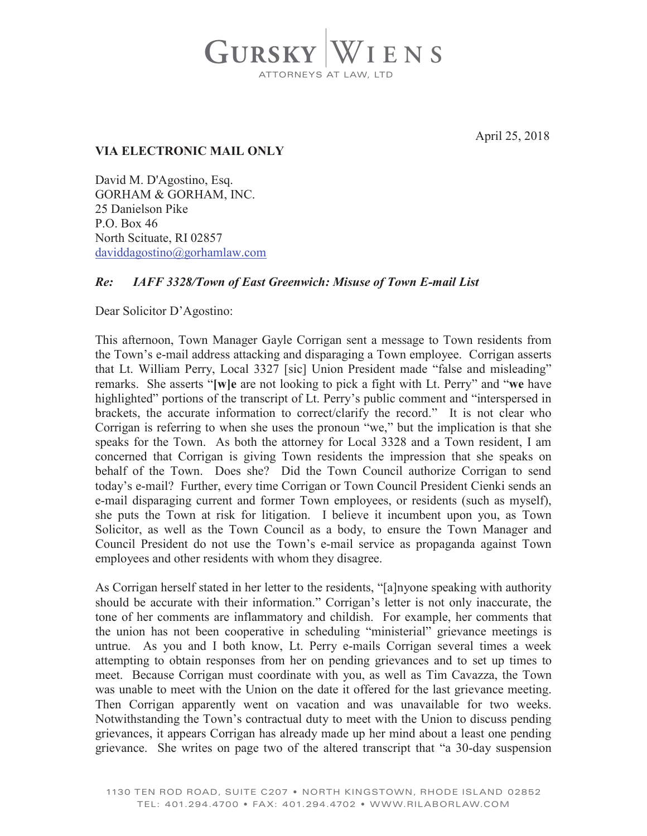

April 25, 2018

## **VIA ELECTRONIC MAIL ONLY**

David M. D'Agostino, Esq. GORHAM & GORHAM, INC. 25 Danielson Pike P.O. Box 46 North Scituate, RI 02857 daviddagostino@gorhamlaw.com

## *Re: IAFF 3328/Town of East Greenwich: Misuse of Town E-mail List*

Dear Solicitor D'Agostino:

This afternoon, Town Manager Gayle Corrigan sent a message to Town residents from the Town's e-mail address attacking and disparaging a Town employee. Corrigan asserts that Lt. William Perry, Local 3327 [sic] Union President made "false and misleading" remarks. She asserts "**[w]e** are not looking to pick a fight with Lt. Perry" and "**we** have highlighted" portions of the transcript of Lt. Perry's public comment and "interspersed in brackets, the accurate information to correct/clarify the record." It is not clear who Corrigan is referring to when she uses the pronoun "we," but the implication is that she speaks for the Town. As both the attorney for Local 3328 and a Town resident, I am concerned that Corrigan is giving Town residents the impression that she speaks on behalf of the Town. Does she? Did the Town Council authorize Corrigan to send today's e-mail? Further, every time Corrigan or Town Council President Cienki sends an e-mail disparaging current and former Town employees, or residents (such as myself), she puts the Town at risk for litigation. I believe it incumbent upon you, as Town Solicitor, as well as the Town Council as a body, to ensure the Town Manager and Council President do not use the Town's e-mail service as propaganda against Town employees and other residents with whom they disagree.

As Corrigan herself stated in her letter to the residents, "[a]nyone speaking with authority should be accurate with their information." Corrigan's letter is not only inaccurate, the tone of her comments are inflammatory and childish. For example, her comments that the union has not been cooperative in scheduling "ministerial" grievance meetings is untrue. As you and I both know, Lt. Perry e-mails Corrigan several times a week attempting to obtain responses from her on pending grievances and to set up times to meet. Because Corrigan must coordinate with you, as well as Tim Cavazza, the Town was unable to meet with the Union on the date it offered for the last grievance meeting. Then Corrigan apparently went on vacation and was unavailable for two weeks. Notwithstanding the Town's contractual duty to meet with the Union to discuss pending grievances, it appears Corrigan has already made up her mind about a least one pending grievance. She writes on page two of the altered transcript that "a 30-day suspension